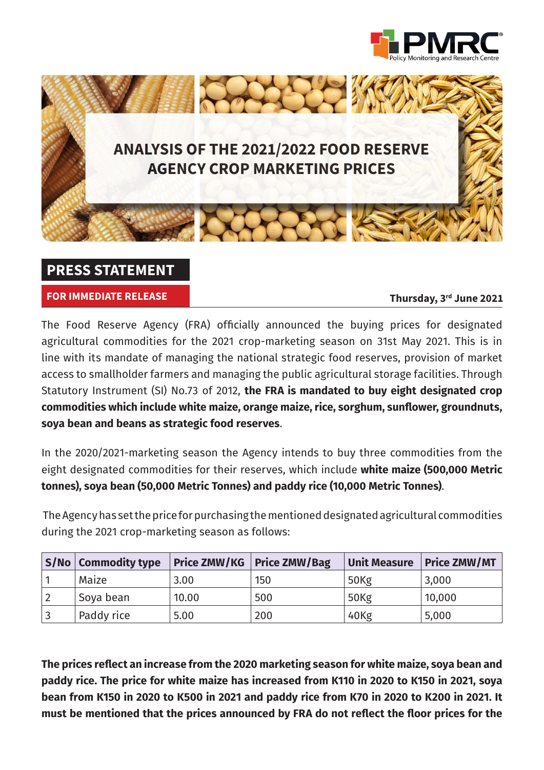



## **PRESS STATEMENT**

**FOR IMMEDIATE RELEASE**

**Thursday, 3rd June 2021**

The Food Reserve Agency (FRA) officially announced the buying prices for designated agricultural commodities for the 2021 crop-marketing season on 31st May 2021. This is in line with its mandate of managing the national strategic food reserves, provision of market access to smallholder farmers and managing the public agricultural storage facilities. Through Statutory Instrument (SI) No.73 of 2012, **the FRA is mandated to buy eight designated crop commodities which include white maize, orange maize, rice, sorghum, sunflower, groundnuts, soya bean and beans as strategic food reserves**.

In the 2020/2021-marketing season the Agency intends to buy three commodities from the eight designated commodities for their reserves, which include **white maize (500,000 Metric tonnes), soya bean (50,000 Metric Tonnes) and paddy rice (10,000 Metric Tonnes)**.

 The Agency has set the price for purchasing the mentioned designated agricultural commodities during the 2021 crop-marketing season as follows:

| $\mid$ S/No $\mid$ Commodity type | <b>Price ZMW/KG</b> | <b>Price ZMW/Bag</b> | Unit Measure     | <b>Price ZMW/MT</b> |
|-----------------------------------|---------------------|----------------------|------------------|---------------------|
| Maize                             | 3.00                | 150                  | 50 <sub>Kg</sub> | 3,000               |
| Soya bean                         | 10.00               | 500                  | 50Kg             | 10,000              |
| Paddy rice                        | 5.00                | 200                  | 40Kg             | 5,000               |

**The prices reflect an increase from the 2020 marketing season for white maize, soya bean and paddy rice. The price for white maize has increased from K110 in 2020 to K150 in 2021, soya bean from K150 in 2020 to K500 in 2021 and paddy rice from K70 in 2020 to K200 in 2021. It must be mentioned that the prices announced by FRA do not reflect the floor prices for the**